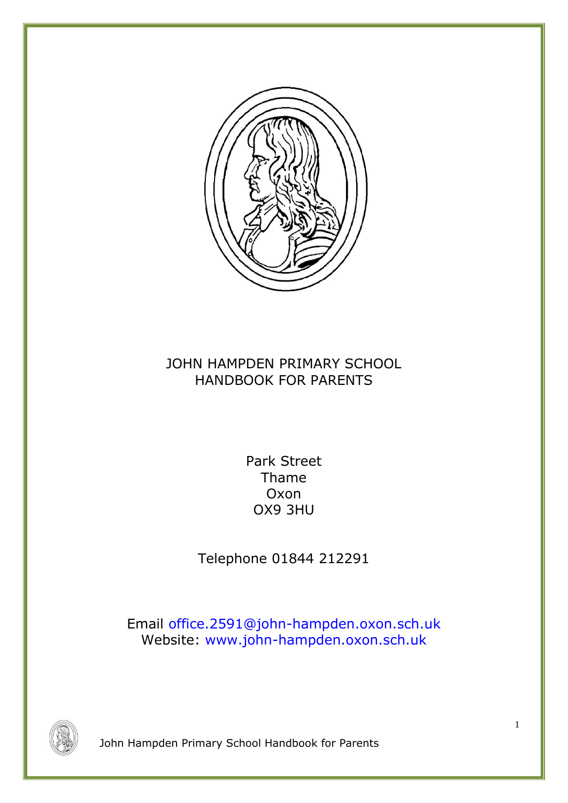

# JOHN HAMPDEN PRIMARY SCHOOL HANDBOOK FOR PARENTS

Park Street Thame Oxon OX9 3HU

Telephone 01844 212291

Email office.2591@john-hampden.oxon.sch.uk Website: [www.john-hampden.oxon.sch.uk](http://www.john-hampden.oxon.sch.uk/)

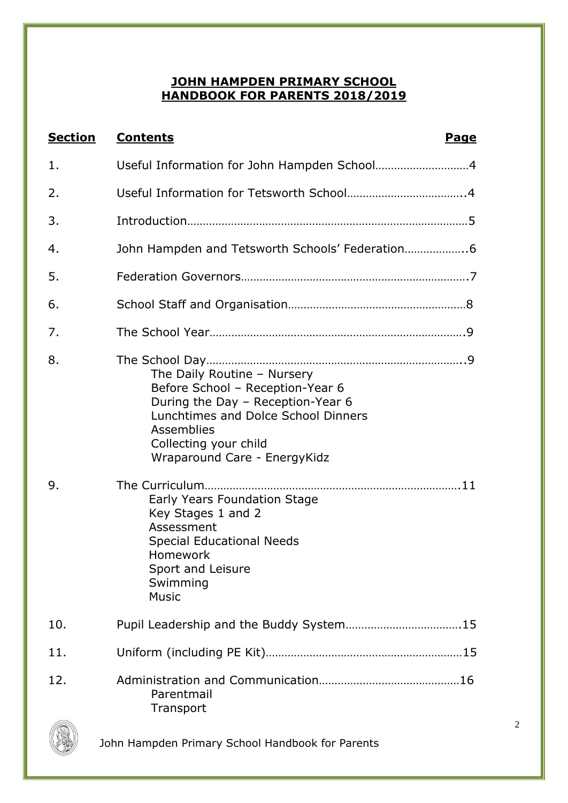# **JOHN HAMPDEN PRIMARY SCHOOL HANDBOOK FOR PARENTS 2018/2019**

| <b>Section</b> | <b>Contents</b><br><u>Page</u>                                                                                                                                                                                                                                                                                                                |
|----------------|-----------------------------------------------------------------------------------------------------------------------------------------------------------------------------------------------------------------------------------------------------------------------------------------------------------------------------------------------|
| 1.             |                                                                                                                                                                                                                                                                                                                                               |
| 2.             |                                                                                                                                                                                                                                                                                                                                               |
| 3.             |                                                                                                                                                                                                                                                                                                                                               |
| 4.             | John Hampden and Tetsworth Schools' Federation 6                                                                                                                                                                                                                                                                                              |
| 5.             |                                                                                                                                                                                                                                                                                                                                               |
| 6.             |                                                                                                                                                                                                                                                                                                                                               |
| 7.             |                                                                                                                                                                                                                                                                                                                                               |
| 8.<br>9.       | The Daily Routine - Nursery<br>Before School - Reception-Year 6<br>During the Day - Reception-Year 6<br>Lunchtimes and Dolce School Dinners<br><b>Assemblies</b><br>Collecting your child<br>Wraparound Care - EnergyKidz<br>Early Years Foundation Stage<br>Key Stages 1 and 2<br>Assessment<br><b>Special Educational Needs</b><br>Homework |
| 10.            | Sport and Leisure<br>Swimming<br><b>Music</b>                                                                                                                                                                                                                                                                                                 |
|                |                                                                                                                                                                                                                                                                                                                                               |
| 11.            |                                                                                                                                                                                                                                                                                                                                               |
| 12.            | Parentmail<br>Transport                                                                                                                                                                                                                                                                                                                       |

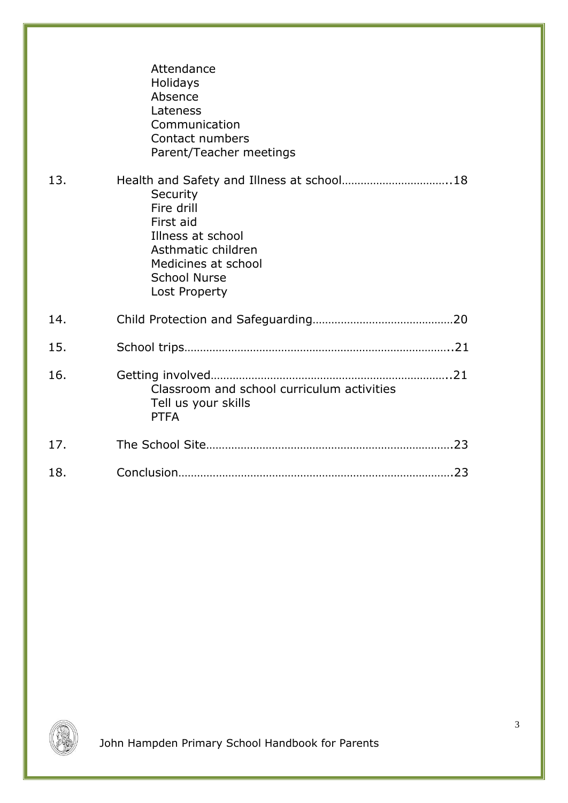|     | Attendance<br>Holidays<br>Absence<br>Lateness<br>Communication<br>Contact numbers<br>Parent/Teacher meetings                                                                               |  |
|-----|--------------------------------------------------------------------------------------------------------------------------------------------------------------------------------------------|--|
| 13. | Health and Safety and Illness at school18<br>Security<br>Fire drill<br>First aid<br>Illness at school<br>Asthmatic children<br>Medicines at school<br><b>School Nurse</b><br>Lost Property |  |
| 14. |                                                                                                                                                                                            |  |
| 15. |                                                                                                                                                                                            |  |
| 16. | Classroom and school curriculum activities<br>Tell us your skills<br><b>PTFA</b>                                                                                                           |  |
| 17. |                                                                                                                                                                                            |  |
| 18. |                                                                                                                                                                                            |  |

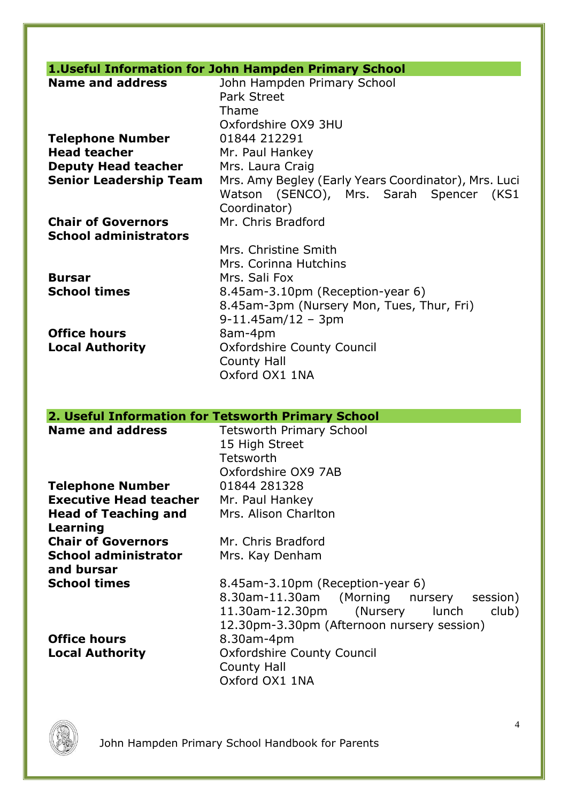# **1.Useful Information for John Hampden Primary School**

| <b>Name and address</b>       | John Hampden Primary School                          |  |  |
|-------------------------------|------------------------------------------------------|--|--|
|                               | <b>Park Street</b>                                   |  |  |
|                               | Thame                                                |  |  |
|                               | Oxfordshire OX9 3HU                                  |  |  |
| <b>Telephone Number</b>       | 01844 212291                                         |  |  |
| <b>Head teacher</b>           | Mr. Paul Hankey                                      |  |  |
| <b>Deputy Head teacher</b>    | Mrs. Laura Craig                                     |  |  |
| <b>Senior Leadership Team</b> | Mrs. Amy Begley (Early Years Coordinator), Mrs. Luci |  |  |
|                               | Watson (SENCO), Mrs. Sarah Spencer (KS1              |  |  |
|                               | Coordinator)                                         |  |  |
| <b>Chair of Governors</b>     | Mr. Chris Bradford                                   |  |  |
| <b>School administrators</b>  |                                                      |  |  |
|                               | Mrs. Christine Smith                                 |  |  |
|                               | Mrs. Corinna Hutchins                                |  |  |
| <b>Bursar</b>                 | Mrs. Sali Fox                                        |  |  |
| <b>School times</b>           | 8.45am-3.10pm (Reception-year 6)                     |  |  |
|                               | 8.45am-3pm (Nursery Mon, Tues, Thur, Fri)            |  |  |
|                               | $9-11.45$ am/12 - 3pm                                |  |  |
| <b>Office hours</b>           | 8am-4pm                                              |  |  |
| <b>Local Authority</b>        | Oxfordshire County Council                           |  |  |
|                               | <b>County Hall</b>                                   |  |  |
|                               | Oxford OX1 1NA                                       |  |  |
|                               |                                                      |  |  |
|                               |                                                      |  |  |

| 2. Useful Information for Tetsworth Primary School |                                            |
|----------------------------------------------------|--------------------------------------------|
| <b>Name and address</b>                            | <b>Tetsworth Primary School</b>            |
|                                                    | 15 High Street                             |
|                                                    | Tetsworth                                  |
|                                                    | Oxfordshire OX9 7AB                        |
| <b>Telephone Number</b>                            | 01844 281328                               |
| <b>Executive Head teacher</b>                      | Mr. Paul Hankey                            |
| <b>Head of Teaching and</b>                        | Mrs. Alison Charlton                       |
| Learning                                           |                                            |
| <b>Chair of Governors</b>                          | Mr. Chris Bradford                         |
| <b>School administrator</b>                        | Mrs. Kay Denham                            |
| and bursar                                         |                                            |
| <b>School times</b>                                | 8.45am-3.10pm (Reception-year 6)           |
|                                                    | 8.30am-11.30am (Morning nursery session)   |
|                                                    | 11.30am-12.30pm (Nursery lunch<br>club)    |
|                                                    | 12.30pm-3.30pm (Afternoon nursery session) |
| <b>Office hours</b>                                | 8.30am-4pm                                 |
| <b>Local Authority</b>                             | <b>Oxfordshire County Council</b>          |
|                                                    | <b>County Hall</b>                         |
|                                                    | Oxford OX1 1NA                             |

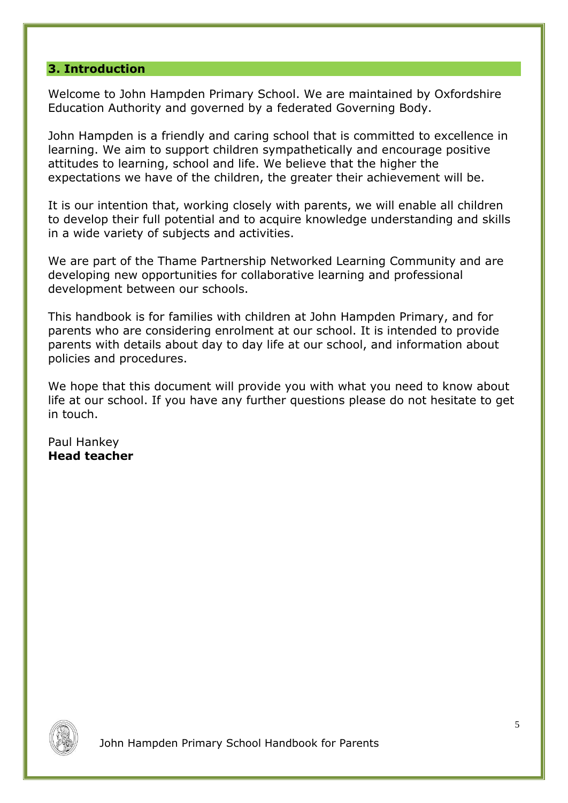### **3. Introduction**

Welcome to John Hampden Primary School. We are maintained by Oxfordshire Education Authority and governed by a federated Governing Body.

John Hampden is a friendly and caring school that is committed to excellence in learning. We aim to support children sympathetically and encourage positive attitudes to learning, school and life. We believe that the higher the expectations we have of the children, the greater their achievement will be.

It is our intention that, working closely with parents, we will enable all children to develop their full potential and to acquire knowledge understanding and skills in a wide variety of subjects and activities.

We are part of the Thame Partnership Networked Learning Community and are developing new opportunities for collaborative learning and professional development between our schools.

This handbook is for families with children at John Hampden Primary, and for parents who are considering enrolment at our school. It is intended to provide parents with details about day to day life at our school, and information about policies and procedures.

We hope that this document will provide you with what you need to know about life at our school. If you have any further questions please do not hesitate to get in touch.

Paul Hankey **Head teacher**

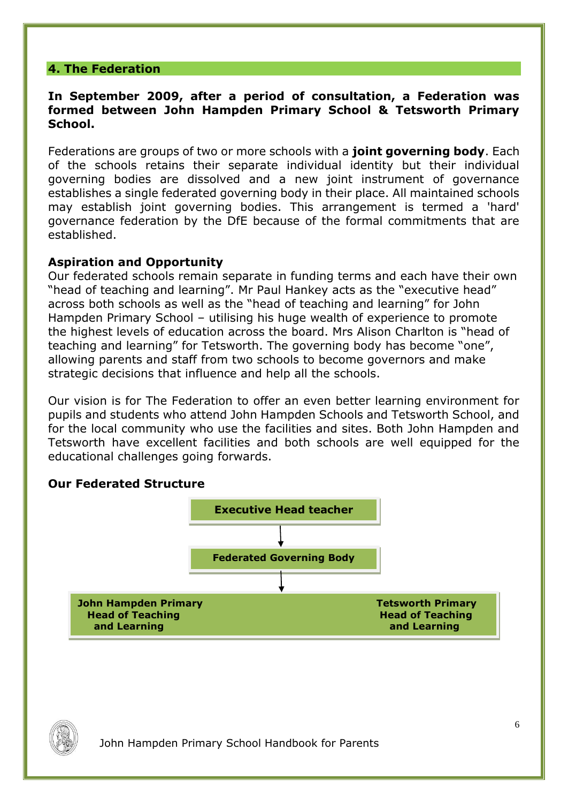### **4. The Federation**

#### **In September 2009, after a period of consultation, a Federation was formed between John Hampden Primary School & Tetsworth Primary School.**

Federations are groups of two or more schools with a **joint governing body**. Each of the schools retains their separate individual identity but their individual governing bodies are dissolved and a new joint instrument of governance establishes a single federated governing body in their place. All maintained schools may establish joint governing bodies. This arrangement is termed a 'hard' governance federation by the DfE because of the formal commitments that are established.

#### **Aspiration and Opportunity**

Our federated schools remain separate in funding terms and each have their own "head of teaching and learning". Mr Paul Hankey acts as the "executive head" across both schools as well as the "head of teaching and learning" for John Hampden Primary School – utilising his huge wealth of experience to promote the highest levels of education across the board. Mrs Alison Charlton is "head of teaching and learning" for Tetsworth. The governing body has become "one", allowing parents and staff from two schools to become governors and make strategic decisions that influence and help all the schools.

Our vision is for The Federation to offer an even better learning environment for pupils and students who attend John Hampden Schools and Tetsworth School, and for the local community who use the facilities and sites. Both John Hampden and Tetsworth have excellent facilities and both schools are well equipped for the educational challenges going forwards.

# **Our Federated Structure**



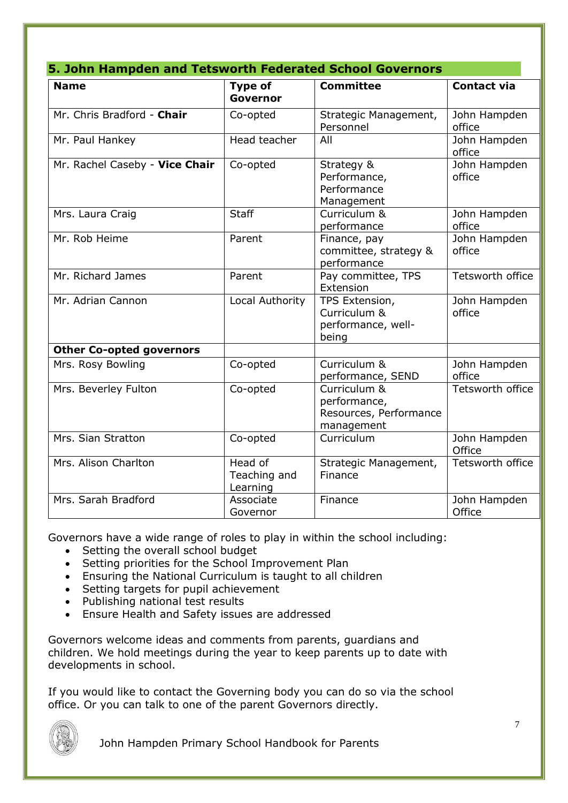| 5. John Hampden and Tetsworth Federated School Governors |                                     |                                                                      |                        |  |  |
|----------------------------------------------------------|-------------------------------------|----------------------------------------------------------------------|------------------------|--|--|
| <b>Name</b>                                              | <b>Type of</b><br>Governor          | <b>Committee</b>                                                     | <b>Contact via</b>     |  |  |
| Mr. Chris Bradford - Chair                               | Co-opted                            | Strategic Management,<br>Personnel                                   | John Hampden<br>office |  |  |
| Mr. Paul Hankey                                          | Head teacher                        | All                                                                  | John Hampden<br>office |  |  |
| Mr. Rachel Caseby - Vice Chair                           | Co-opted                            | Strategy &<br>Performance,<br>Performance<br>Management              | John Hampden<br>office |  |  |
| Mrs. Laura Craig                                         | <b>Staff</b>                        | Curriculum &<br>performance                                          | John Hampden<br>office |  |  |
| Mr. Rob Heime                                            | Parent                              | Finance, pay<br>committee, strategy &<br>performance                 | John Hampden<br>office |  |  |
| Mr. Richard James                                        | Parent                              | Pay committee, TPS<br>Extension                                      | Tetsworth office       |  |  |
| Mr. Adrian Cannon                                        | Local Authority                     | TPS Extension,<br>Curriculum &<br>performance, well-<br>being        | John Hampden<br>office |  |  |
| <b>Other Co-opted governors</b>                          |                                     |                                                                      |                        |  |  |
| Mrs. Rosy Bowling                                        | Co-opted                            | Curriculum &<br>performance, SEND                                    | John Hampden<br>office |  |  |
| Mrs. Beverley Fulton                                     | Co-opted                            | Curriculum &<br>performance,<br>Resources, Performance<br>management | Tetsworth office       |  |  |
| Mrs. Sian Stratton                                       | Co-opted                            | Curriculum                                                           | John Hampden<br>Office |  |  |
| Mrs. Alison Charlton                                     | Head of<br>Teaching and<br>Learning | Strategic Management,<br>Finance                                     | Tetsworth office       |  |  |
| Mrs. Sarah Bradford                                      | Associate<br>Governor               | Finance                                                              | John Hampden<br>Office |  |  |

Governors have a wide range of roles to play in within the school including:

- Setting the overall school budget
- Setting priorities for the School Improvement Plan
- Ensuring the National Curriculum is taught to all children
- Setting targets for pupil achievement
- Publishing national test results
- Ensure Health and Safety issues are addressed

Governors welcome ideas and comments from parents, guardians and children. We hold meetings during the year to keep parents up to date with developments in school.

If you would like to contact the Governing body you can do so via the school office. Or you can talk to one of the parent Governors directly.

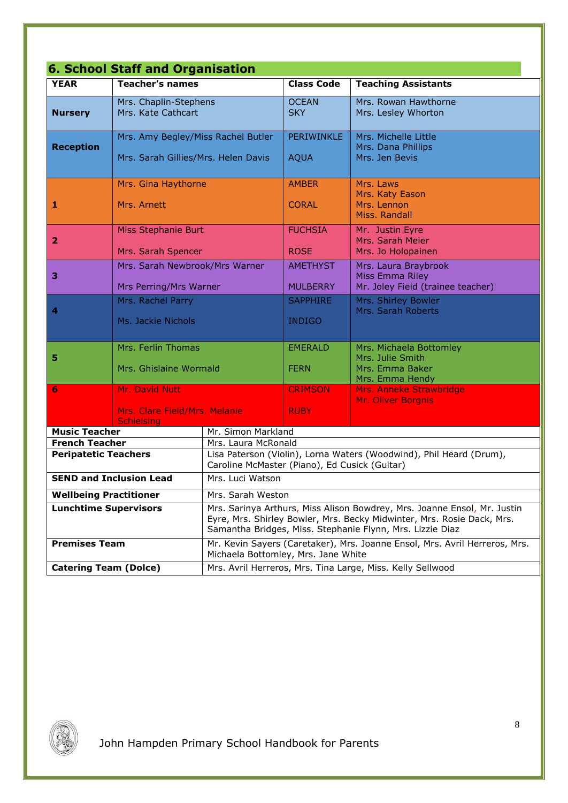| <b>6. School Staff and Organisation</b>              |                                                                           |                                                                                                                                                                                                                 |                                    |                                                                                   |  |
|------------------------------------------------------|---------------------------------------------------------------------------|-----------------------------------------------------------------------------------------------------------------------------------------------------------------------------------------------------------------|------------------------------------|-----------------------------------------------------------------------------------|--|
| <b>YEAR</b>                                          | <b>Teacher's names</b>                                                    |                                                                                                                                                                                                                 | <b>Class Code</b>                  | <b>Teaching Assistants</b>                                                        |  |
| <b>Nursery</b>                                       | Mrs. Chaplin-Stephens<br>Mrs. Kate Cathcart                               |                                                                                                                                                                                                                 | <b>OCEAN</b><br><b>SKY</b>         | Mrs. Rowan Hawthorne<br>Mrs. Lesley Whorton                                       |  |
| <b>Reception</b>                                     | Mrs. Amy Begley/Miss Rachel Butler<br>Mrs. Sarah Gillies/Mrs. Helen Davis |                                                                                                                                                                                                                 | PERIWINKLE<br><b>AQUA</b>          | Mrs. Michelle Little<br>Mrs. Dana Phillips<br>Mrs. Jen Bevis                      |  |
| 1                                                    | Mrs. Gina Haythorne<br>Mrs. Arnett                                        |                                                                                                                                                                                                                 | <b>AMBER</b><br><b>CORAL</b>       | Mrs. Laws<br>Mrs. Katy Eason<br>Mrs. Lennon<br>Miss. Randall                      |  |
| $\overline{\mathbf{2}}$                              | Miss Stephanie Burt<br>Mrs. Sarah Spencer                                 |                                                                                                                                                                                                                 | <b>FUCHSIA</b><br><b>ROSE</b>      | Mr. Justin Eyre<br>Mrs. Sarah Meier<br>Mrs. Jo Holopainen                         |  |
| $\mathbf{3}$                                         | Mrs. Sarah Newbrook/Mrs Warner<br>Mrs Perring/Mrs Warner                  |                                                                                                                                                                                                                 | <b>AMETHYST</b><br><b>MULBERRY</b> | Mrs. Laura Braybrook<br>Miss Emma Riley<br>Mr. Joley Field (trainee teacher)      |  |
| $\overline{\mathbf{4}}$                              | Mrs. Rachel Parry<br>Ms. Jackie Nichols                                   |                                                                                                                                                                                                                 | <b>SAPPHIRE</b><br><b>INDIGO</b>   | Mrs. Shirley Bowler<br>Mrs. Sarah Roberts                                         |  |
| 5                                                    | Mrs. Ferlin Thomas<br>Mrs. Ghislaine Wormald                              |                                                                                                                                                                                                                 | <b>EMERALD</b><br><b>FERN</b>      | Mrs. Michaela Bottomley<br>Mrs. Julie Smith<br>Mrs. Emma Baker<br>Mrs. Emma Hendy |  |
| 6                                                    | Mr. David Nutt<br>Mrs. Clare Field/Mrs. Melanie<br><b>Schleising</b>      |                                                                                                                                                                                                                 | <b>CRIMSON</b><br><b>RUBY</b>      | Mrs. Anneke Strawbridge<br>Mr. Oliver Borgnis                                     |  |
| <b>Music Teacher</b>                                 |                                                                           | Mr. Simon Markland                                                                                                                                                                                              |                                    |                                                                                   |  |
| <b>French Teacher</b><br><b>Peripatetic Teachers</b> |                                                                           | Mrs. Laura McRonald<br>Lisa Paterson (Violin), Lorna Waters (Woodwind), Phil Heard (Drum),<br>Caroline McMaster (Piano), Ed Cusick (Guitar)                                                                     |                                    |                                                                                   |  |
| <b>SEND and Inclusion Lead</b>                       |                                                                           | Mrs. Luci Watson                                                                                                                                                                                                |                                    |                                                                                   |  |
| <b>Wellbeing Practitioner</b>                        |                                                                           | Mrs. Sarah Weston                                                                                                                                                                                               |                                    |                                                                                   |  |
| <b>Lunchtime Supervisors</b>                         |                                                                           | Mrs. Sarinya Arthurs, Miss Alison Bowdrey, Mrs. Joanne Ensol, Mr. Justin<br>Eyre, Mrs. Shirley Bowler, Mrs. Becky Midwinter, Mrs. Rosie Dack, Mrs.<br>Samantha Bridges, Miss. Stephanie Flynn, Mrs. Lizzie Diaz |                                    |                                                                                   |  |
| <b>Premises Team</b>                                 |                                                                           | Mr. Kevin Sayers (Caretaker), Mrs. Joanne Ensol, Mrs. Avril Herreros, Mrs.<br>Michaela Bottomley, Mrs. Jane White                                                                                               |                                    |                                                                                   |  |
| <b>Catering Team (Dolce)</b>                         |                                                                           | Mrs. Avril Herreros, Mrs. Tina Large, Miss. Kelly Sellwood                                                                                                                                                      |                                    |                                                                                   |  |

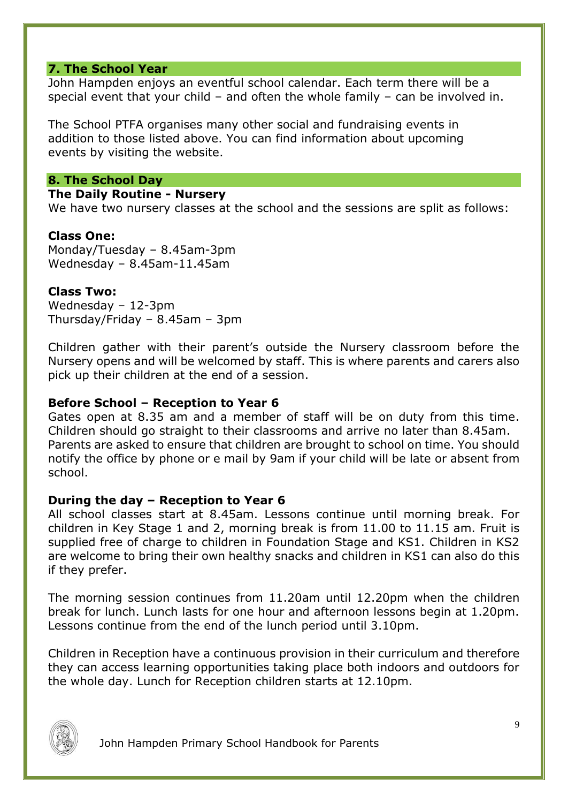#### **7. The School Year**

John Hampden enjoys an eventful school calendar. Each term there will be a special event that your child – and often the whole family – can be involved in.

The School PTFA organises many other social and fundraising events in addition to those listed above. You can find information about upcoming events by visiting the website.

#### **8. The School Day**

### **The Daily Routine - Nursery**

We have two nursery classes at the school and the sessions are split as follows:

#### **Class One:**

Monday/Tuesday – 8.45am-3pm Wednesday – 8.45am-11.45am

#### **Class Two:**

Wednesday – 12-3pm Thursday/Friday – 8.45am – 3pm

Children gather with their parent's outside the Nursery classroom before the Nursery opens and will be welcomed by staff. This is where parents and carers also pick up their children at the end of a session.

#### **Before School – Reception to Year 6**

Gates open at 8.35 am and a member of staff will be on duty from this time. Children should go straight to their classrooms and arrive no later than 8.45am. Parents are asked to ensure that children are brought to school on time. You should notify the office by phone or e mail by 9am if your child will be late or absent from school.

#### **During the day – Reception to Year 6**

All school classes start at 8.45am. Lessons continue until morning break. For children in Key Stage 1 and 2, morning break is from 11.00 to 11.15 am. Fruit is supplied free of charge to children in Foundation Stage and KS1. Children in KS2 are welcome to bring their own healthy snacks and children in KS1 can also do this if they prefer.

The morning session continues from 11.20am until 12.20pm when the children break for lunch. Lunch lasts for one hour and afternoon lessons begin at 1.20pm. Lessons continue from the end of the lunch period until 3.10pm.

Children in Reception have a continuous provision in their curriculum and therefore they can access learning opportunities taking place both indoors and outdoors for the whole day. Lunch for Reception children starts at 12.10pm.

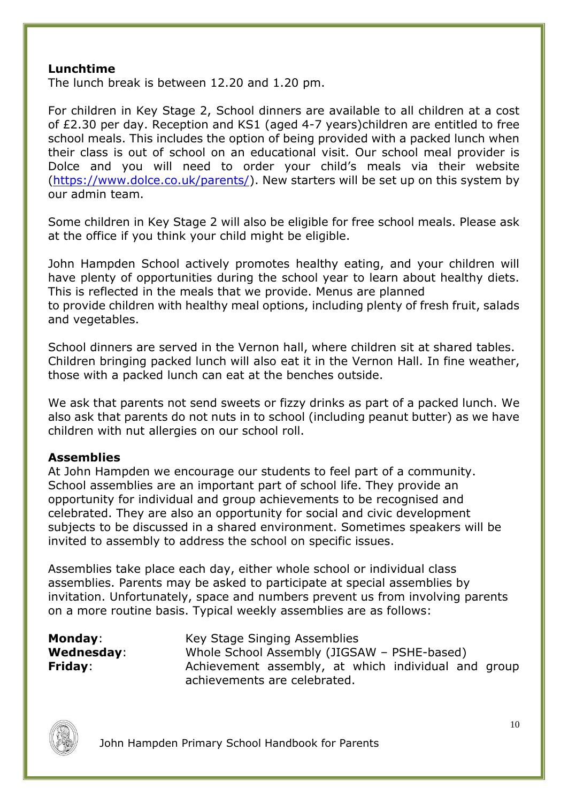### **Lunchtime**

The lunch break is between 12.20 and 1.20 pm.

For children in Key Stage 2, School dinners are available to all children at a cost of £2.30 per day. Reception and KS1 (aged 4-7 years)children are entitled to free school meals. This includes the option of being provided with a packed lunch when their class is out of school on an educational visit. Our school meal provider is Dolce and you will need to order your child's meals via their website [\(https://www.dolce.co.uk/parents/\)](https://www.dolce.co.uk/parents/). New starters will be set up on this system by our admin team.

Some children in Key Stage 2 will also be eligible for free school meals. Please ask at the office if you think your child might be eligible.

John Hampden School actively promotes healthy eating, and your children will have plenty of opportunities during the school year to learn about healthy diets. This is reflected in the meals that we provide. Menus are planned to provide children with healthy meal options, including plenty of fresh fruit, salads and vegetables.

School dinners are served in the Vernon hall, where children sit at shared tables. Children bringing packed lunch will also eat it in the Vernon Hall. In fine weather, those with a packed lunch can eat at the benches outside.

We ask that parents not send sweets or fizzy drinks as part of a packed lunch. We also ask that parents do not nuts in to school (including peanut butter) as we have children with nut allergies on our school roll.

#### **Assemblies**

At John Hampden we encourage our students to feel part of a community. School assemblies are an important part of school life. They provide an opportunity for individual and group achievements to be recognised and celebrated. They are also an opportunity for social and civic development subjects to be discussed in a shared environment. Sometimes speakers will be invited to assembly to address the school on specific issues.

Assemblies take place each day, either whole school or individual class assemblies. Parents may be asked to participate at special assemblies by invitation. Unfortunately, space and numbers prevent us from involving parents on a more routine basis. Typical weekly assemblies are as follows:

**Monday:** Key Stage Singing Assemblies **Wednesday**: Whole School Assembly (JIGSAW – PSHE-based) **Friday:** Achievement assembly, at which individual and group achievements are celebrated.

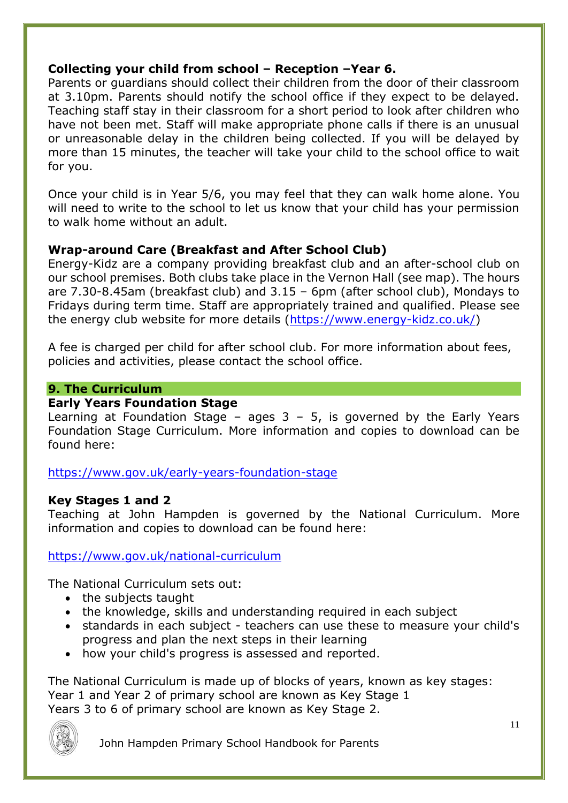# **Collecting your child from school – Reception –Year 6.**

Parents or guardians should collect their children from the door of their classroom at 3.10pm. Parents should notify the school office if they expect to be delayed. Teaching staff stay in their classroom for a short period to look after children who have not been met. Staff will make appropriate phone calls if there is an unusual or unreasonable delay in the children being collected. If you will be delayed by more than 15 minutes, the teacher will take your child to the school office to wait for you.

Once your child is in Year 5/6, you may feel that they can walk home alone. You will need to write to the school to let us know that your child has your permission to walk home without an adult.

# **Wrap-around Care (Breakfast and After School Club)**

Energy-Kidz are a company providing breakfast club and an after-school club on our school premises. Both clubs take place in the Vernon Hall (see map). The hours are 7.30-8.45am (breakfast club) and 3.15 – 6pm (after school club), Mondays to Fridays during term time. Staff are appropriately trained and qualified. Please see the energy club website for more details [\(https://www.energy-kidz.co.uk/\)](https://www.energy-kidz.co.uk/)

A fee is charged per child for after school club. For more information about fees, policies and activities, please contact the school office.

### **9. The Curriculum**

### **Early Years Foundation Stage**

Learning at Foundation Stage – ages  $3 - 5$ , is governed by the Early Years Foundation Stage Curriculum. More information and copies to download can be found here:

<https://www.gov.uk/early-years-foundation-stage>

# **Key Stages 1 and 2**

Teaching at John Hampden is governed by the National Curriculum. More information and copies to download can be found here:

# <https://www.gov.uk/national-curriculum>

The National Curriculum sets out:

- the subjects taught
- the knowledge, skills and understanding required in each subject
- standards in each subject teachers can use these to measure your child's progress and plan the next steps in their learning
- how your child's progress is assessed and reported.

The National Curriculum is made up of blocks of years, known as key stages: Year 1 and Year 2 of primary school are known as Key Stage 1 Years 3 to 6 of primary school are known as Key Stage 2.

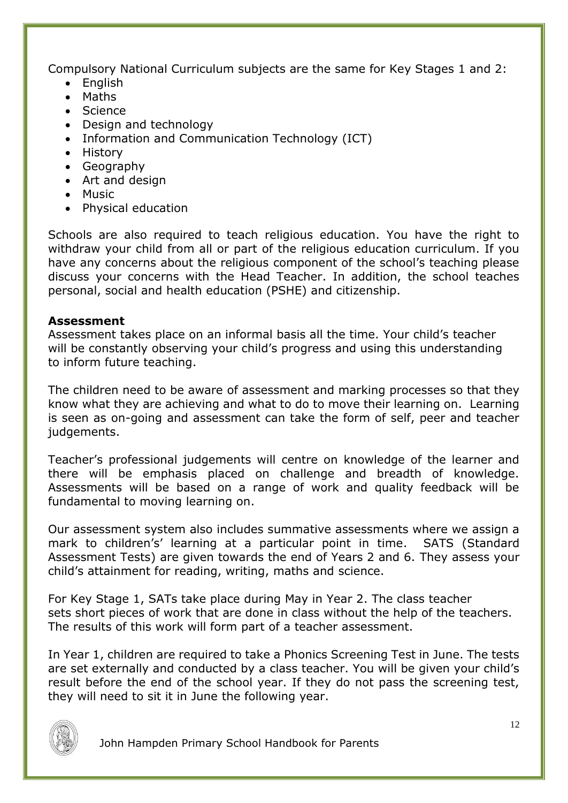Compulsory National Curriculum subjects are the same for Key Stages 1 and 2:

- $\bullet$  Fnalish
- Maths
- Science
- Design and technology
- Information and Communication Technology (ICT)
- History
- Geography
- Art and design
- Music
- Physical education

Schools are also required to teach religious education. You have the right to withdraw your child from all or part of the religious education curriculum. If you have any concerns about the religious component of the school's teaching please discuss your concerns with the Head Teacher. In addition, the school teaches personal, social and health education (PSHE) and citizenship.

# **Assessment**

Assessment takes place on an informal basis all the time. Your child's teacher will be constantly observing your child's progress and using this understanding to inform future teaching.

The children need to be aware of assessment and marking processes so that they know what they are achieving and what to do to move their learning on. Learning is seen as on-going and assessment can take the form of self, peer and teacher judgements.

Teacher's professional judgements will centre on knowledge of the learner and there will be emphasis placed on challenge and breadth of knowledge. Assessments will be based on a range of work and quality feedback will be fundamental to moving learning on.

Our assessment system also includes summative assessments where we assign a mark to children's' learning at a particular point in time. SATS (Standard Assessment Tests) are given towards the end of Years 2 and 6. They assess your child's attainment for reading, writing, maths and science.

For Key Stage 1, SATs take place during May in Year 2. The class teacher sets short pieces of work that are done in class without the help of the teachers. The results of this work will form part of a teacher assessment.

In Year 1, children are required to take a Phonics Screening Test in June. The tests are set externally and conducted by a class teacher. You will be given your child's result before the end of the school year. If they do not pass the screening test, they will need to sit it in June the following year.

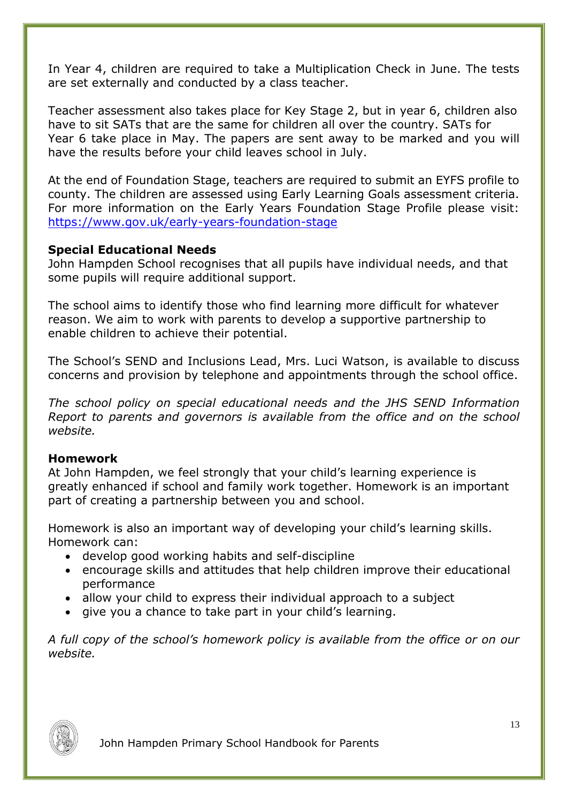In Year 4, children are required to take a Multiplication Check in June. The tests are set externally and conducted by a class teacher.

Teacher assessment also takes place for Key Stage 2, but in year 6, children also have to sit SATs that are the same for children all over the country. SATs for Year 6 take place in May. The papers are sent away to be marked and you will have the results before your child leaves school in July.

At the end of Foundation Stage, teachers are required to submit an EYFS profile to county. The children are assessed using Early Learning Goals assessment criteria. For more information on the Early Years Foundation Stage Profile please visit: <https://www.gov.uk/early-years-foundation-stage>

# **Special Educational Needs**

John Hampden School recognises that all pupils have individual needs, and that some pupils will require additional support.

The school aims to identify those who find learning more difficult for whatever reason. We aim to work with parents to develop a supportive partnership to enable children to achieve their potential.

The School's SEND and Inclusions Lead, Mrs. Luci Watson, is available to discuss concerns and provision by telephone and appointments through the school office.

*The school policy on special educational needs and the JHS SEND Information Report to parents and governors is available from the office and on the school website.*

#### **Homework**

At John Hampden, we feel strongly that your child's learning experience is greatly enhanced if school and family work together. Homework is an important part of creating a partnership between you and school.

Homework is also an important way of developing your child's learning skills. Homework can:

- develop good working habits and self-discipline
- encourage skills and attitudes that help children improve their educational performance
- allow your child to express their individual approach to a subject
- give you a chance to take part in your child's learning.

*A full copy of the school's homework policy is available from the office or on our website.*

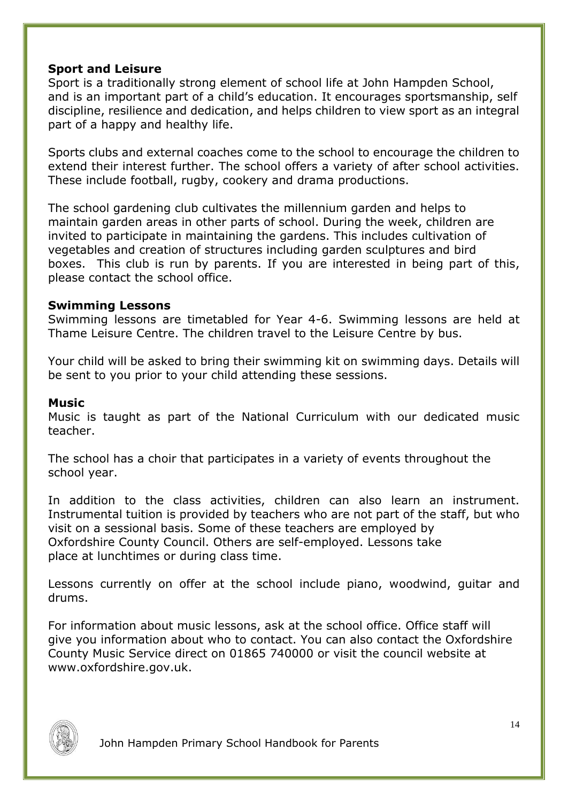# **Sport and Leisure**

Sport is a traditionally strong element of school life at John Hampden School, and is an important part of a child's education. It encourages sportsmanship, self discipline, resilience and dedication, and helps children to view sport as an integral part of a happy and healthy life.

Sports clubs and external coaches come to the school to encourage the children to extend their interest further. The school offers a variety of after school activities. These include football, rugby, cookery and drama productions.

The school gardening club cultivates the millennium garden and helps to maintain garden areas in other parts of school. During the week, children are invited to participate in maintaining the gardens. This includes cultivation of vegetables and creation of structures including garden sculptures and bird boxes. This club is run by parents. If you are interested in being part of this, please contact the school office.

#### **Swimming Lessons**

Swimming lessons are timetabled for Year 4-6. Swimming lessons are held at Thame Leisure Centre. The children travel to the Leisure Centre by bus.

Your child will be asked to bring their swimming kit on swimming days. Details will be sent to you prior to your child attending these sessions.

#### **Music**

Music is taught as part of the National Curriculum with our dedicated music teacher.

The school has a choir that participates in a variety of events throughout the school year.

In addition to the class activities, children can also learn an instrument. Instrumental tuition is provided by teachers who are not part of the staff, but who visit on a sessional basis. Some of these teachers are employed by Oxfordshire County Council. Others are self-employed. Lessons take place at lunchtimes or during class time.

Lessons currently on offer at the school include piano, woodwind, guitar and drums.

For information about music lessons, ask at the school office. Office staff will give you information about who to contact. You can also contact the Oxfordshire County Music Service direct on 01865 740000 or visit the council website at www.oxfordshire.gov.uk.

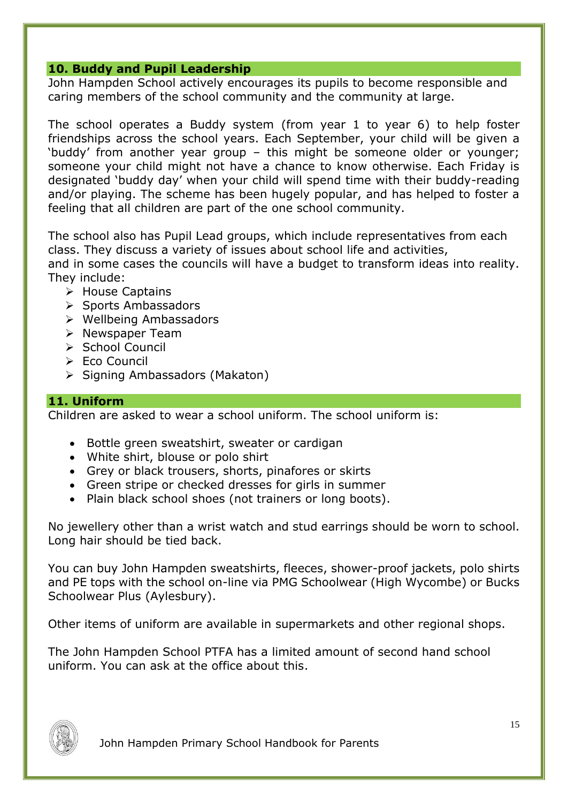## **10. Buddy and Pupil Leadership**

John Hampden School actively encourages its pupils to become responsible and caring members of the school community and the community at large.

The school operates a Buddy system (from year 1 to year 6) to help foster friendships across the school years. Each September, your child will be given a 'buddy' from another year group – this might be someone older or younger; someone your child might not have a chance to know otherwise. Each Friday is designated 'buddy day' when your child will spend time with their buddy-reading and/or playing. The scheme has been hugely popular, and has helped to foster a feeling that all children are part of the one school community.

The school also has Pupil Lead groups, which include representatives from each class. They discuss a variety of issues about school life and activities, and in some cases the councils will have a budget to transform ideas into reality. They include:

- $\triangleright$  House Captains
- $\triangleright$  Sports Ambassadors
- $\triangleright$  Wellbeing Ambassadors
- $\triangleright$  Newspaper Team
- $\triangleright$  School Council
- $\triangleright$  Fco Council
- $\triangleright$  Signing Ambassadors (Makaton)

### **11. Uniform**

Children are asked to wear a school uniform. The school uniform is:

- Bottle green sweatshirt, sweater or cardigan
- White shirt, blouse or polo shirt
- Grey or black trousers, shorts, pinafores or skirts
- Green stripe or checked dresses for girls in summer
- Plain black school shoes (not trainers or long boots).

No jewellery other than a wrist watch and stud earrings should be worn to school. Long hair should be tied back.

You can buy John Hampden sweatshirts, fleeces, shower-proof jackets, polo shirts and PE tops with the school on-line via PMG Schoolwear (High Wycombe) or Bucks Schoolwear Plus (Aylesbury).

Other items of uniform are available in supermarkets and other regional shops.

The John Hampden School PTFA has a limited amount of second hand school uniform. You can ask at the office about this.

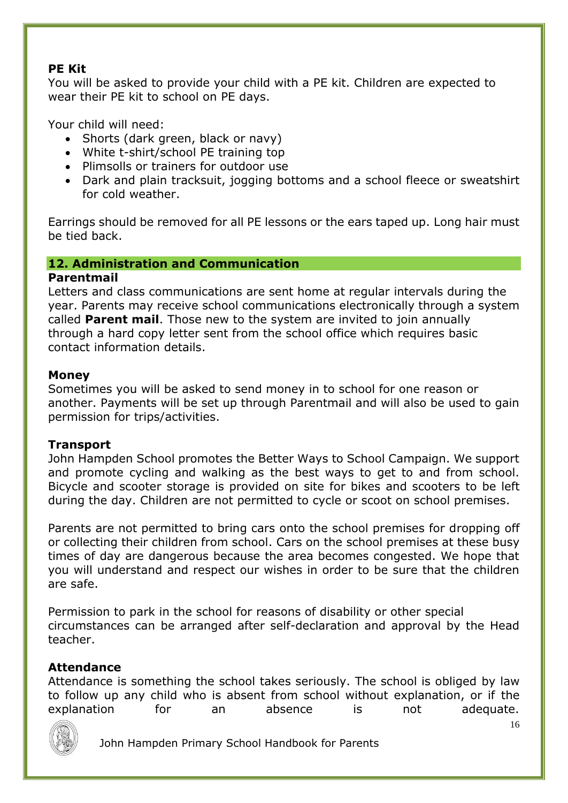# **PE Kit**

You will be asked to provide your child with a PE kit. Children are expected to wear their PE kit to school on PE days.

Your child will need:

- Shorts (dark green, black or navy)
- White t-shirt/school PE training top
- Plimsolls or trainers for outdoor use
- Dark and plain tracksuit, jogging bottoms and a school fleece or sweatshirt for cold weather.

Earrings should be removed for all PE lessons or the ears taped up. Long hair must be tied back.

# **12. Administration and Communication**

### **Parentmail**

Letters and class communications are sent home at regular intervals during the year. Parents may receive school communications electronically through a system called **Parent mail**. Those new to the system are invited to join annually through a hard copy letter sent from the school office which requires basic contact information details.

### **Money**

Sometimes you will be asked to send money in to school for one reason or another. Payments will be set up through Parentmail and will also be used to gain permission for trips/activities.

# **Transport**

John Hampden School promotes the Better Ways to School Campaign. We support and promote cycling and walking as the best ways to get to and from school. Bicycle and scooter storage is provided on site for bikes and scooters to be left during the day. Children are not permitted to cycle or scoot on school premises.

Parents are not permitted to bring cars onto the school premises for dropping off or collecting their children from school. Cars on the school premises at these busy times of day are dangerous because the area becomes congested. We hope that you will understand and respect our wishes in order to be sure that the children are safe.

Permission to park in the school for reasons of disability or other special circumstances can be arranged after self-declaration and approval by the Head teacher.

# **Attendance**

Attendance is something the school takes seriously. The school is obliged by law to follow up any child who is absent from school without explanation, or if the explanation for an absence is not adequate.

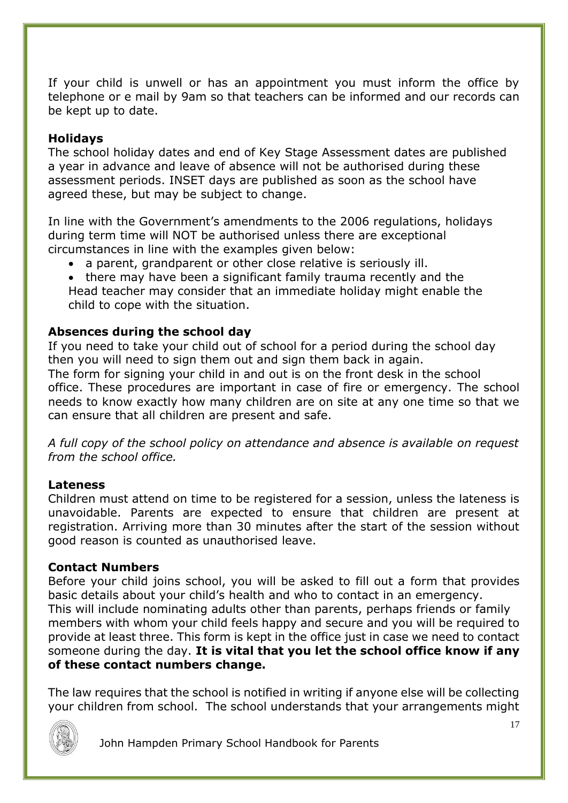If your child is unwell or has an appointment you must inform the office by telephone or e mail by 9am so that teachers can be informed and our records can be kept up to date.

### **Holidays**

The school holiday dates and end of Key Stage Assessment dates are published a year in advance and leave of absence will not be authorised during these assessment periods. INSET days are published as soon as the school have agreed these, but may be subject to change.

In line with the Government's amendments to the 2006 regulations, holidays during term time will NOT be authorised unless there are exceptional circumstances in line with the examples given below:

a parent, grandparent or other close relative is seriously ill.

 there may have been a significant family trauma recently and the Head teacher may consider that an immediate holiday might enable the child to cope with the situation.

### **Absences during the school day**

If you need to take your child out of school for a period during the school day then you will need to sign them out and sign them back in again.

The form for signing your child in and out is on the front desk in the school office. These procedures are important in case of fire or emergency. The school needs to know exactly how many children are on site at any one time so that we can ensure that all children are present and safe.

*A full copy of the school policy on attendance and absence is available on request from the school office.*

#### **Lateness**

Children must attend on time to be registered for a session, unless the lateness is unavoidable. Parents are expected to ensure that children are present at registration. Arriving more than 30 minutes after the start of the session without good reason is counted as unauthorised leave.

#### **Contact Numbers**

Before your child joins school, you will be asked to fill out a form that provides basic details about your child's health and who to contact in an emergency. This will include nominating adults other than parents, perhaps friends or family members with whom your child feels happy and secure and you will be required to provide at least three. This form is kept in the office just in case we need to contact someone during the day. **It is vital that you let the school office know if any of these contact numbers change.**

The law requires that the school is notified in writing if anyone else will be collecting your children from school. The school understands that your arrangements might

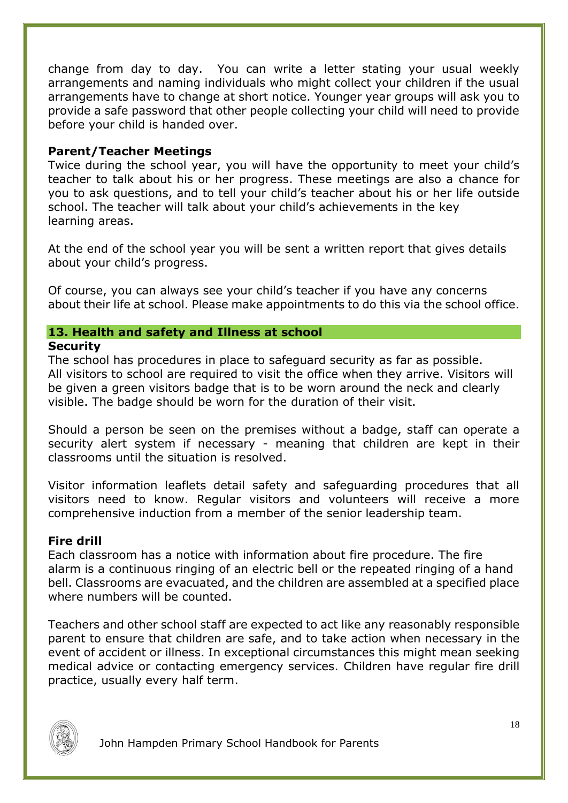change from day to day. You can write a letter stating your usual weekly arrangements and naming individuals who might collect your children if the usual arrangements have to change at short notice. Younger year groups will ask you to provide a safe password that other people collecting your child will need to provide before your child is handed over.

#### **Parent/Teacher Meetings**

Twice during the school year, you will have the opportunity to meet your child's teacher to talk about his or her progress. These meetings are also a chance for you to ask questions, and to tell your child's teacher about his or her life outside school. The teacher will talk about your child's achievements in the key learning areas.

At the end of the school year you will be sent a written report that gives details about your child's progress.

Of course, you can always see your child's teacher if you have any concerns about their life at school. Please make appointments to do this via the school office.

#### **13. Health and safety and Illness at school Security**

The school has procedures in place to safeguard security as far as possible. All visitors to school are required to visit the office when they arrive. Visitors will be given a green visitors badge that is to be worn around the neck and clearly visible. The badge should be worn for the duration of their visit.

Should a person be seen on the premises without a badge, staff can operate a security alert system if necessary - meaning that children are kept in their classrooms until the situation is resolved.

Visitor information leaflets detail safety and safeguarding procedures that all visitors need to know. Regular visitors and volunteers will receive a more comprehensive induction from a member of the senior leadership team.

# **Fire drill**

Each classroom has a notice with information about fire procedure. The fire alarm is a continuous ringing of an electric bell or the repeated ringing of a hand bell. Classrooms are evacuated, and the children are assembled at a specified place where numbers will be counted.

Teachers and other school staff are expected to act like any reasonably responsible parent to ensure that children are safe, and to take action when necessary in the event of accident or illness. In exceptional circumstances this might mean seeking medical advice or contacting emergency services. Children have regular fire drill practice, usually every half term.

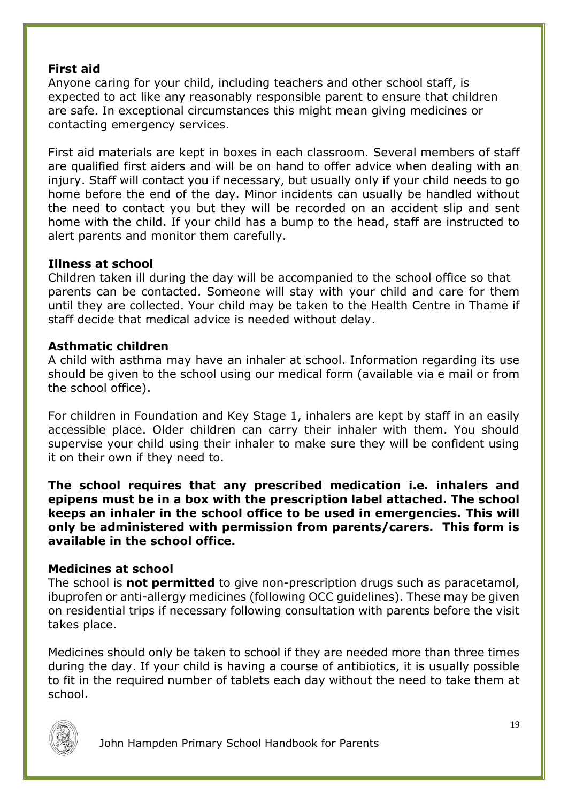# **First aid**

Anyone caring for your child, including teachers and other school staff, is expected to act like any reasonably responsible parent to ensure that children are safe. In exceptional circumstances this might mean giving medicines or contacting emergency services.

First aid materials are kept in boxes in each classroom. Several members of staff are qualified first aiders and will be on hand to offer advice when dealing with an injury. Staff will contact you if necessary, but usually only if your child needs to go home before the end of the day. Minor incidents can usually be handled without the need to contact you but they will be recorded on an accident slip and sent home with the child. If your child has a bump to the head, staff are instructed to alert parents and monitor them carefully.

### **Illness at school**

Children taken ill during the day will be accompanied to the school office so that parents can be contacted. Someone will stay with your child and care for them until they are collected. Your child may be taken to the Health Centre in Thame if staff decide that medical advice is needed without delay.

#### **Asthmatic children**

A child with asthma may have an inhaler at school. Information regarding its use should be given to the school using our medical form (available via e mail or from the school office).

For children in Foundation and Key Stage 1, inhalers are kept by staff in an easily accessible place. Older children can carry their inhaler with them. You should supervise your child using their inhaler to make sure they will be confident using it on their own if they need to.

**The school requires that any prescribed medication i.e. inhalers and epipens must be in a box with the prescription label attached. The school keeps an inhaler in the school office to be used in emergencies. This will only be administered with permission from parents/carers. This form is available in the school office.**

#### **Medicines at school**

The school is **not permitted** to give non-prescription drugs such as paracetamol, ibuprofen or anti-allergy medicines (following OCC guidelines). These may be given on residential trips if necessary following consultation with parents before the visit takes place.

Medicines should only be taken to school if they are needed more than three times during the day. If your child is having a course of antibiotics, it is usually possible to fit in the required number of tablets each day without the need to take them at school.

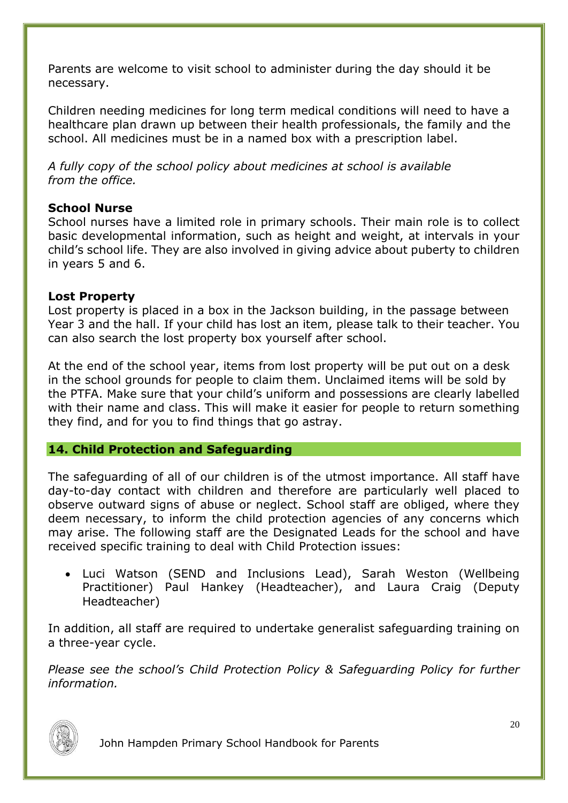Parents are welcome to visit school to administer during the day should it be necessary.

Children needing medicines for long term medical conditions will need to have a healthcare plan drawn up between their health professionals, the family and the school. All medicines must be in a named box with a prescription label.

*A fully copy of the school policy about medicines at school is available from the office.*

### **School Nurse**

School nurses have a limited role in primary schools. Their main role is to collect basic developmental information, such as height and weight, at intervals in your child's school life. They are also involved in giving advice about puberty to children in years 5 and 6.

### **Lost Property**

Lost property is placed in a box in the Jackson building, in the passage between Year 3 and the hall. If your child has lost an item, please talk to their teacher. You can also search the lost property box yourself after school.

At the end of the school year, items from lost property will be put out on a desk in the school grounds for people to claim them. Unclaimed items will be sold by the PTFA. Make sure that your child's uniform and possessions are clearly labelled with their name and class. This will make it easier for people to return something they find, and for you to find things that go astray.

#### **14. Child Protection and Safeguarding**

The safeguarding of all of our children is of the utmost importance. All staff have day-to-day contact with children and therefore are particularly well placed to observe outward signs of abuse or neglect. School staff are obliged, where they deem necessary, to inform the child protection agencies of any concerns which may arise. The following staff are the Designated Leads for the school and have received specific training to deal with Child Protection issues:

 Luci Watson (SEND and Inclusions Lead), Sarah Weston (Wellbeing Practitioner) Paul Hankey (Headteacher), and Laura Craig (Deputy Headteacher)

In addition, all staff are required to undertake generalist safeguarding training on a three-year cycle.

*Please see the school's [Child Protection Policy & Safeguarding Policy](http://www.waterfoot.lancs.sch.uk/child-protection-safeguarding-policy) for further information.*

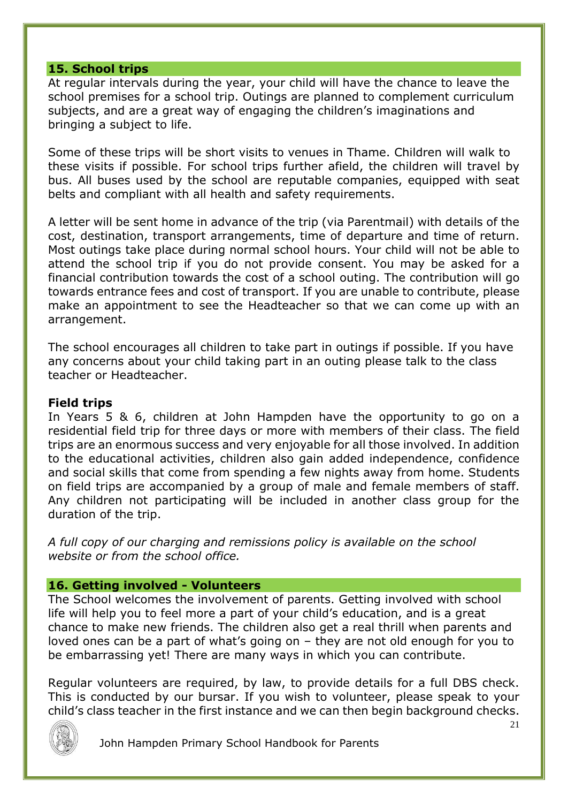#### **15. School trips**

At regular intervals during the year, your child will have the chance to leave the school premises for a school trip. Outings are planned to complement curriculum subjects, and are a great way of engaging the children's imaginations and bringing a subject to life.

Some of these trips will be short visits to venues in Thame. Children will walk to these visits if possible. For school trips further afield, the children will travel by bus. All buses used by the school are reputable companies, equipped with seat belts and compliant with all health and safety requirements.

A letter will be sent home in advance of the trip (via Parentmail) with details of the cost, destination, transport arrangements, time of departure and time of return. Most outings take place during normal school hours. Your child will not be able to attend the school trip if you do not provide consent. You may be asked for a financial contribution towards the cost of a school outing. The contribution will go towards entrance fees and cost of transport. If you are unable to contribute, please make an appointment to see the Headteacher so that we can come up with an arrangement.

The school encourages all children to take part in outings if possible. If you have any concerns about your child taking part in an outing please talk to the class teacher or Headteacher.

#### **Field trips**

In Years 5 & 6, children at John Hampden have the opportunity to go on a residential field trip for three days or more with members of their class. The field trips are an enormous success and very enjoyable for all those involved. In addition to the educational activities, children also gain added independence, confidence and social skills that come from spending a few nights away from home. Students on field trips are accompanied by a group of male and female members of staff. Any children not participating will be included in another class group for the duration of the trip.

*A full copy of our charging and remissions policy is available on the school website or from the school office.*

#### **16. Getting involved - Volunteers**

The School welcomes the involvement of parents. Getting involved with school life will help you to feel more a part of your child's education, and is a great chance to make new friends. The children also get a real thrill when parents and loved ones can be a part of what's going on – they are not old enough for you to be embarrassing yet! There are many ways in which you can contribute.

Regular volunteers are required, by law, to provide details for a full DBS check. This is conducted by our bursar. If you wish to volunteer, please speak to your child's class teacher in the first instance and we can then begin background checks.

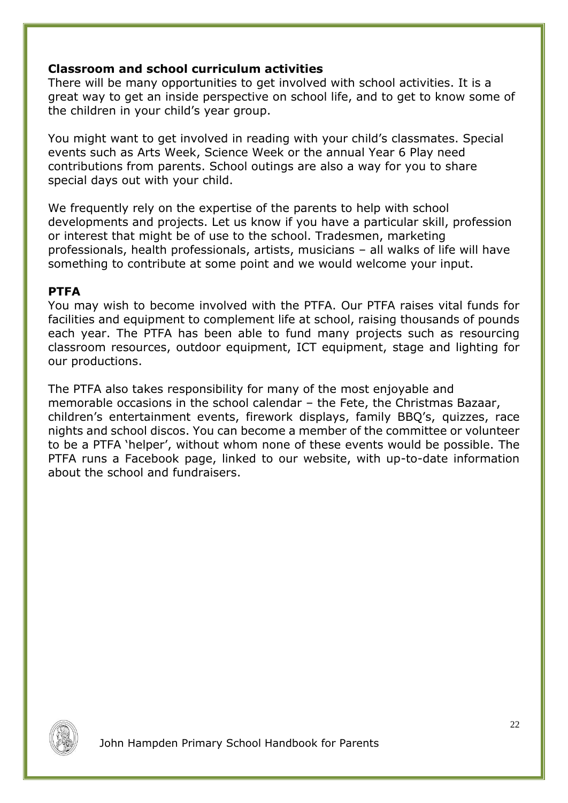### **Classroom and school curriculum activities**

There will be many opportunities to get involved with school activities. It is a great way to get an inside perspective on school life, and to get to know some of the children in your child's year group.

You might want to get involved in reading with your child's classmates. Special events such as Arts Week, Science Week or the annual Year 6 Play need contributions from parents. School outings are also a way for you to share special days out with your child.

We frequently rely on the expertise of the parents to help with school developments and projects. Let us know if you have a particular skill, profession or interest that might be of use to the school. Tradesmen, marketing professionals, health professionals, artists, musicians – all walks of life will have something to contribute at some point and we would welcome your input.

#### **PTFA**

You may wish to become involved with the PTFA. Our PTFA raises vital funds for facilities and equipment to complement life at school, raising thousands of pounds each year. The PTFA has been able to fund many projects such as resourcing classroom resources, outdoor equipment, ICT equipment, stage and lighting for our productions.

The PTFA also takes responsibility for many of the most enjoyable and memorable occasions in the school calendar – the Fete, the Christmas Bazaar, children's entertainment events, firework displays, family BBQ's, quizzes, race nights and school discos. You can become a member of the committee or volunteer to be a PTFA 'helper', without whom none of these events would be possible. The PTFA runs a Facebook page, linked to our website, with up-to-date information about the school and fundraisers.